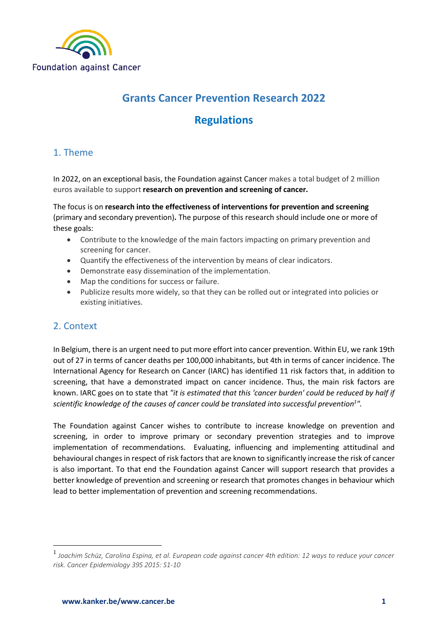

# **Grants Cancer Prevention Research 2022**

# **Regulations**

## 1. Theme

In 2022, on an exceptional basis, the Foundation against Cancer makes a total budget of 2 million euros available to support **research on prevention and screening of cancer.**

The focus is on **research into the effectiveness of interventions for prevention and screening** (primary and secondary prevention)**.** The purpose of this research should include one or more of these goals:

- Contribute to the knowledge of the main factors impacting on primary prevention and screening for cancer.
- Quantify the effectiveness of the intervention by means of clear indicators.
- Demonstrate easy dissemination of the implementation.
- Map the conditions for success or failure.
- Publicize results more widely, so that they can be rolled out or integrated into policies or existing initiatives.

### 2. Context

**.** 

In Belgium, there is an urgent need to put more effort into cancer prevention. Within EU, we rank 19th out of 27 in terms of cancer deaths per 100,000 inhabitants, but 4th in terms of cancer incidence. The International Agency for Research on Cancer (IARC) has identified 11 risk factors that, in addition to screening, that have a demonstrated impact on cancer incidence. Thus, the main risk factors are known. IARC goes on to state that *"it is estimated that this 'cancer burden' could be reduced by half if scientific knowledge of the causes of cancer could be translated into successful prevention 1 ".* 

The Foundation against Cancer wishes to contribute to increase knowledge on prevention and screening, in order to improve primary or secondary prevention strategies and to improve implementation of recommendations. Evaluating, influencing and implementing attitudinal and behavioural changes in respect of risk factors that are known to significantly increase the risk of cancer is also important. To that end the Foundation against Cancer will support research that provides a better knowledge of prevention and screening or research that promotes changes in behaviour which lead to better implementation of prevention and screening recommendations.

<sup>1</sup> *Joachim Schüz, Carolina Espina, et al. European code against cancer 4th edition: 12 ways to reduce your cancer risk. Cancer Epidemiology 39S 2015: S1-10*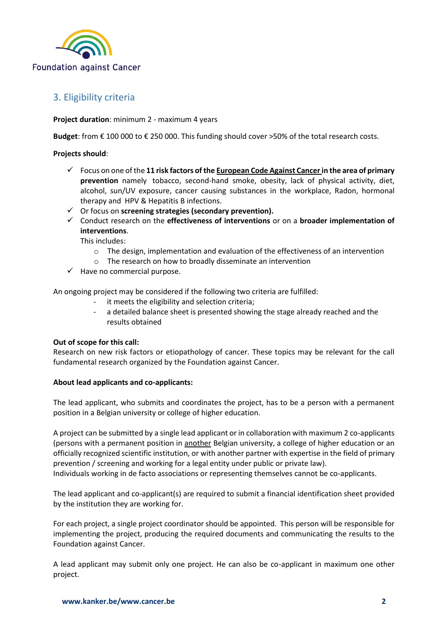

## 3. Eligibility criteria

**Project duration**: minimum 2 - maximum 4 years

**Budget**: from € 100 000 to € 250 000. This funding should cover >50% of the total research costs.

### **Projects should**:

- Focus on one of the **11 risk factors of th[e European Code Against Cancer i](https://cancer-code-europe.iarc.fr/index.php/nl/)n the area of primary prevention** namely tobacco, second-hand smoke, obesity, lack of physical activity, diet, alcohol, sun/UV exposure, cancer causing substances in the workplace, Radon, hormonal therapy and HPV & Hepatitis B infections.
- Or focus on **screening strategies (secondary prevention).**
- Conduct research on the **effectiveness of interventions** or on a **broader implementation of interventions**.

This includes:

- $\circ$  The design, implementation and evaluation of the effectiveness of an intervention
- o The research on how to broadly disseminate an intervention
- $\checkmark$  Have no commercial purpose.

An ongoing project may be considered if the following two criteria are fulfilled:

- it meets the eligibility and selection criteria;
- a detailed balance sheet is presented showing the stage already reached and the results obtained

### **Out of scope for this call:**

Research on new risk factors or etiopathology of cancer. These topics may be relevant for the call fundamental research organized by the Foundation against Cancer.

### **About lead applicants and co-applicants:**

The lead applicant, who submits and coordinates the project, has to be a person with a permanent position in a Belgian university or college of higher education.

A project can be submitted by a single lead applicant or in collaboration with maximum 2 co-applicants (persons with a permanent position in another Belgian university, a college of higher education or an officially recognized scientific institution, or with another partner with expertise in the field of primary prevention / screening and working for a legal entity under public or private law).

Individuals working in de facto associations or representing themselves cannot be co-applicants.

The lead applicant and co-applicant(s) are required to submit a financial identification sheet provided by the institution they are working for.

For each project, a single project coordinator should be appointed. This person will be responsible for implementing the project, producing the required documents and communicating the results to the Foundation against Cancer.

A lead applicant may submit only one project. He can also be co-applicant in maximum one other project.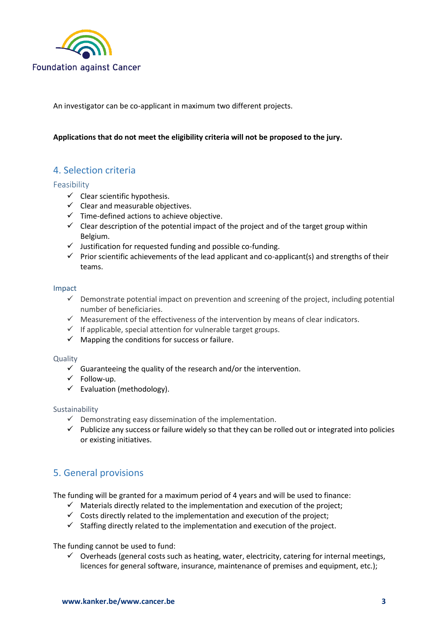

An investigator can be co-applicant in maximum two different projects.

### **Applications that do not meet the eligibility criteria will not be proposed to the jury.**

### 4. Selection criteria

### Feasibility

- $\checkmark$  Clear scientific hypothesis.
- $\checkmark$  Clear and measurable objectives.
- $\checkmark$  Time-defined actions to achieve objective.
- $\checkmark$  Clear description of the potential impact of the project and of the target group within Belgium.
- $\checkmark$  Justification for requested funding and possible co-funding.
- $\checkmark$  Prior scientific achievements of the lead applicant and co-applicant(s) and strengths of their teams.

### Impact

- $\checkmark$  Demonstrate potential impact on prevention and screening of the project, including potential number of beneficiaries.
- $\checkmark$  Measurement of the effectiveness of the intervention by means of clear indicators.
- $\checkmark$  If applicable, special attention for vulnerable target groups.
- $\checkmark$  Mapping the conditions for success or failure.

### Quality

- $\checkmark$  Guaranteeing the quality of the research and/or the intervention.
- $\checkmark$  Follow-up.
- $\checkmark$  Evaluation (methodology).

### Sustainability

- $\checkmark$  Demonstrating easy dissemination of the implementation.
- $\checkmark$  Publicize any success or failure widely so that they can be rolled out or integrated into policies or existing initiatives.

### 5. General provisions

The funding will be granted for a maximum period of 4 years and will be used to finance:

- $\checkmark$  Materials directly related to the implementation and execution of the project;
- $\checkmark$  Costs directly related to the implementation and execution of the project;
- $\checkmark$  Staffing directly related to the implementation and execution of the project.

The funding cannot be used to fund:

 $\checkmark$  Overheads (general costs such as heating, water, electricity, catering for internal meetings, licences for general software, insurance, maintenance of premises and equipment, etc.);